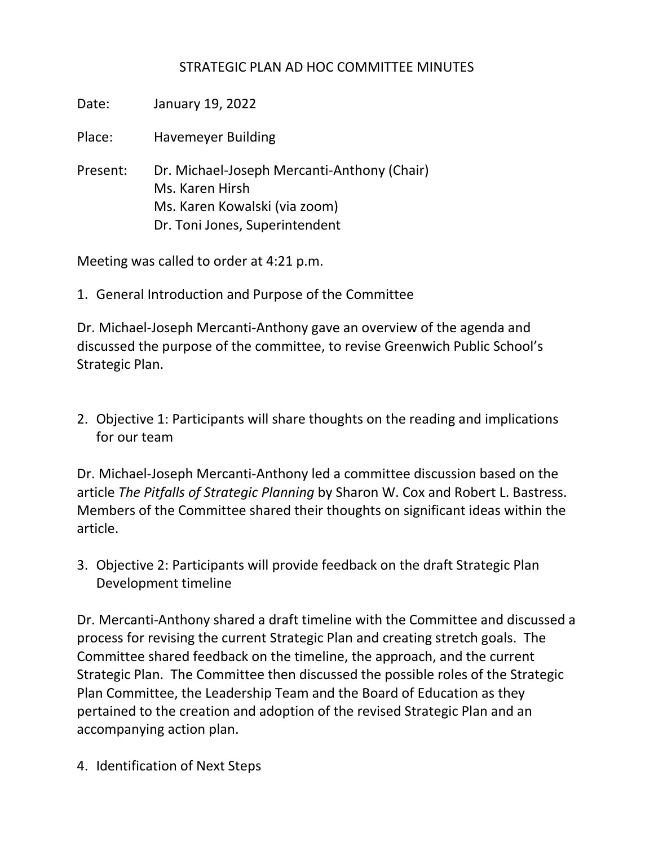## STRATEGIC PLAN AD HOC COMMITTEE MINUTES

| Date:    | January 19, 2022                                                                                                                  |
|----------|-----------------------------------------------------------------------------------------------------------------------------------|
| Place:   | <b>Havemeyer Building</b>                                                                                                         |
| Present: | Dr. Michael-Joseph Mercanti-Anthony (Chair)<br>Ms. Karen Hirsh<br>Ms. Karen Kowalski (via zoom)<br>Dr. Toni Jones, Superintendent |

Meeting was called to order at 4:21 p.m.

1. General Introduction and Purpose of the Committee

Dr. Michael-Joseph Mercanti-Anthony gave an overview of the agenda and discussed the purpose of the committee, to revise Greenwich Public School's Strategic Plan.

2. Objective 1: Participants will share thoughts on the reading and implications for our team

Dr. Michael-Joseph Mercanti-Anthony led a committee discussion based on the article *The Pitfalls of Strategic Planning* by Sharon W. Cox and Robert L. Bastress. Members of the Committee shared their thoughts on significant ideas within the article.

3. Objective 2: Participants will provide feedback on the draft Strategic Plan Development timeline

Dr. Mercanti-Anthony shared a draft timeline with the Committee and discussed a process for revising the current Strategic Plan and creating stretch goals. The Committee shared feedback on the timeline, the approach, and the current Strategic Plan. The Committee then discussed the possible roles of the Strategic Plan Committee, the Leadership Team and the Board of Education as they pertained to the creation and adoption of the revised Strategic Plan and an accompanying action plan.

4. Identification of Next Steps